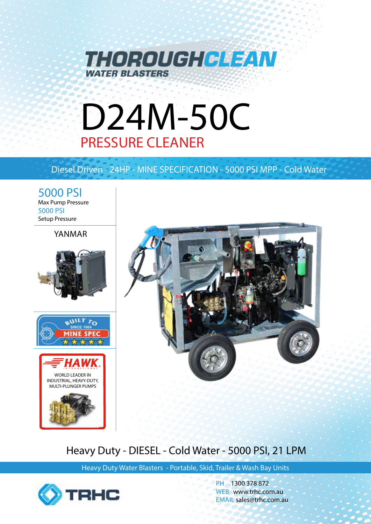

# D24M-50C PRESSURE CLEANER

# Diesel Driven - 24HP - MINE SPECIFICATION - 5000 PSI MPP - Cold Water

5000 PSI Max Pump Pressure 5000 PSI Setup Pressure

# YANMAR









# Heavy Duty - DIESEL - Cold Water - 5000 PSI, 21 LPM

Heavy Duty Water Blasters - Portable, Skid, Trailer & Wash Bay Units



PH 1300 378 872 WEB www.trhc.com.au EMAIL sales@trhc.com.au